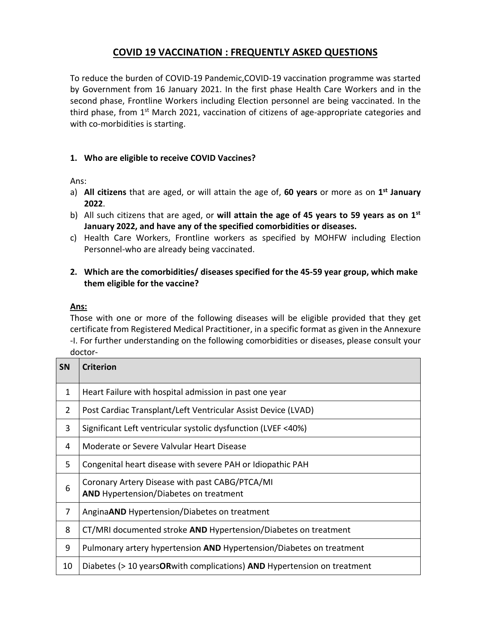# **COVID 19 VACCINATION : FREQUENTLY ASKED QUESTIONS**

To reduce the burden of COVID-19 Pandemic,COVID-19 vaccination programme was started by Government from 16 January 2021. In the first phase Health Care Workers and in the second phase, Frontline Workers including Election personnel are being vaccinated. In the third phase, from 1<sup>st</sup> March 2021, vaccination of citizens of age-appropriate categories and with co-morbidities is starting.

### **1. Who are eligible to receive COVID Vaccines?**

Ans:

- a) **All citizens** that are aged, or will attain the age of, **60 years** or more as on **1 st January 2022**.
- b) All such citizens that are aged, or **will attain the age of 45 years to 59 years as on 1 st January 2022, and have any of the specified comorbidities or diseases.**
- c) Health Care Workers, Frontline workers as specified by MOHFW including Election Personnel-who are already being vaccinated.

# **2. Which are the comorbidities/ diseases specified for the 45-59 year group, which make them eligible for the vaccine?**

## **Ans:**

Those with one or more of the following diseases will be eligible provided that they get certificate from Registered Medical Practitioner, in a specific format as given in the Annexure -I. For further understanding on the following comorbidities or diseases, please consult your doctor-

| SN             | <b>Criterion</b>                                                                                |
|----------------|-------------------------------------------------------------------------------------------------|
| 1              | Heart Failure with hospital admission in past one year                                          |
| $\overline{2}$ | Post Cardiac Transplant/Left Ventricular Assist Device (LVAD)                                   |
| 3              | Significant Left ventricular systolic dysfunction (LVEF <40%)                                   |
| 4              | Moderate or Severe Valvular Heart Disease                                                       |
| 5              | Congenital heart disease with severe PAH or Idiopathic PAH                                      |
| 6              | Coronary Artery Disease with past CABG/PTCA/MI<br><b>AND Hypertension/Diabetes on treatment</b> |
| 7              | AnginaAND Hypertension/Diabetes on treatment                                                    |
| 8              | CT/MRI documented stroke AND Hypertension/Diabetes on treatment                                 |
| 9              | Pulmonary artery hypertension AND Hypertension/Diabetes on treatment                            |
| 10             | Diabetes (> 10 yearsOR with complications) AND Hypertension on treatment                        |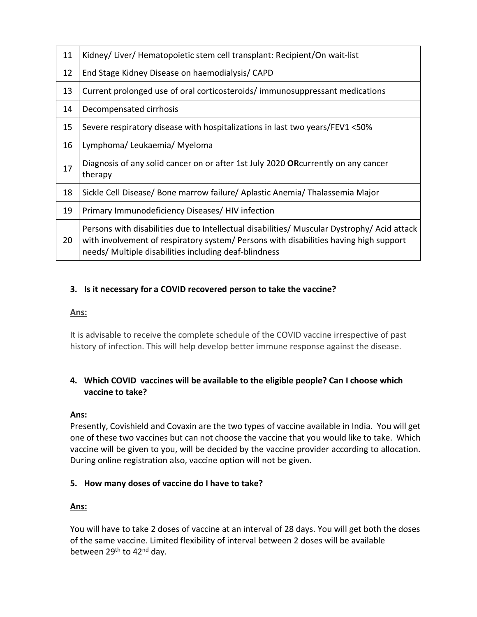| 11 | Kidney/ Liver/ Hematopoietic stem cell transplant: Recipient/On wait-list                                                                                                                                                                     |
|----|-----------------------------------------------------------------------------------------------------------------------------------------------------------------------------------------------------------------------------------------------|
| 12 | End Stage Kidney Disease on haemodialysis/ CAPD                                                                                                                                                                                               |
| 13 | Current prolonged use of oral corticosteroids/immunosuppressant medications                                                                                                                                                                   |
| 14 | Decompensated cirrhosis                                                                                                                                                                                                                       |
| 15 | Severe respiratory disease with hospitalizations in last two years/FEV1 <50%                                                                                                                                                                  |
| 16 | Lymphoma/Leukaemia/Myeloma                                                                                                                                                                                                                    |
| 17 | Diagnosis of any solid cancer on or after 1st July 2020 OR currently on any cancer<br>therapy                                                                                                                                                 |
| 18 | Sickle Cell Disease/ Bone marrow failure/ Aplastic Anemia/ Thalassemia Major                                                                                                                                                                  |
| 19 | Primary Immunodeficiency Diseases/HIV infection                                                                                                                                                                                               |
| 20 | Persons with disabilities due to Intellectual disabilities/ Muscular Dystrophy/ Acid attack<br>with involvement of respiratory system/ Persons with disabilities having high support<br>needs/ Multiple disabilities including deaf-blindness |

### **3. Is it necessary for a COVID recovered person to take the vaccine?**

#### **Ans:**

It is advisable to receive the complete schedule of the COVID vaccine irrespective of past history of infection. This will help develop better immune response against the disease.

# **4. Which COVID vaccines will be available to the eligible people? Can I choose which vaccine to take?**

### **Ans:**

Presently, Covishield and Covaxin are the two types of vaccine available in India. You will get one of these two vaccines but can not choose the vaccine that you would like to take. Which vaccine will be given to you, will be decided by the vaccine provider according to allocation. During online registration also, vaccine option will not be given.

### **5. How many doses of vaccine do I have to take?**

### **Ans:**

You will have to take 2 doses of vaccine at an interval of 28 days. You will get both the doses of the same vaccine. Limited flexibility of interval between 2 doses will be available between 29<sup>th</sup> to 42<sup>nd</sup> day.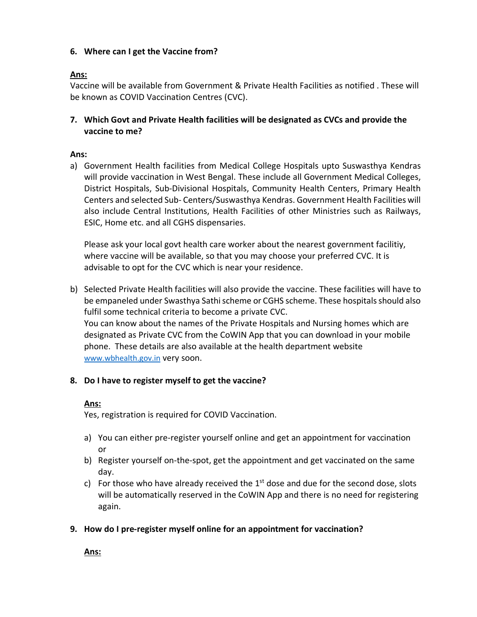### **6. Where can I get the Vaccine from?**

## **Ans:**

Vaccine will be available from Government & Private Health Facilities as notified . These will be known as COVID Vaccination Centres (CVC).

**7. Which Govt and Private Health facilities will be designated as CVCs and provide the vaccine to me?**

### **Ans:**

a) Government Health facilities from Medical College Hospitals upto Suswasthya Kendras will provide vaccination in West Bengal. These include all Government Medical Colleges, District Hospitals, Sub-Divisional Hospitals, Community Health Centers, Primary Health Centers and selected Sub- Centers/Suswasthya Kendras. Government Health Facilities will also include Central Institutions, Health Facilities of other Ministries such as Railways, ESIC, Home etc. and all CGHS dispensaries.

Please ask your local govt health care worker about the nearest government facilitiy, where vaccine will be available, so that you may choose your preferred CVC. It is advisable to opt for the CVC which is near your residence.

b) Selected Private Health facilities will also provide the vaccine. These facilities will have to be empaneled under Swasthya Sathi scheme or CGHS scheme. These hospitals should also fulfil some technical criteria to become a private CVC. You can know about the names of the Private Hospitals and Nursing homes which are designated as Private CVC from the CoWIN App that you can download in your mobile phone. These details are also available at the health department website [www.wbhealth.gov.in](http://www.wbhealth.gov.in/) very soon.

### **8. Do I have to register myself to get the vaccine?**

### **Ans:**

Yes, registration is required for COVID Vaccination.

- a) You can either pre-register yourself online and get an appointment for vaccination or
- b) Register yourself on-the-spot, get the appointment and get vaccinated on the same day.
- c) For those who have already received the  $1<sup>st</sup>$  dose and due for the second dose, slots will be automatically reserved in the CoWIN App and there is no need for registering again.
- **9. How do I pre-register myself online for an appointment for vaccination?**

**Ans:**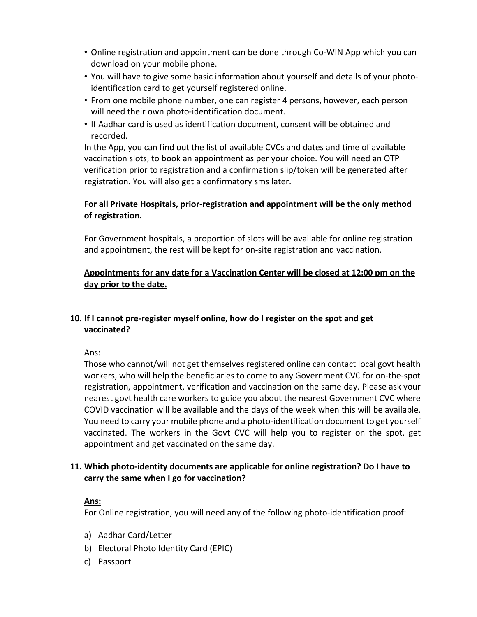- Online registration and appointment can be done through Co-WIN App which you can download on your mobile phone.
- You will have to give some basic information about yourself and details of your photoidentification card to get yourself registered online.
- From one mobile phone number, one can register 4 persons, however, each person will need their own photo-identification document.
- If Aadhar card is used as identification document, consent will be obtained and recorded.

In the App, you can find out the list of available CVCs and dates and time of available vaccination slots, to book an appointment as per your choice. You will need an OTP verification prior to registration and a confirmation slip/token will be generated after registration. You will also get a confirmatory sms later.

## **For all Private Hospitals, prior-registration and appointment will be the only method of registration.**

For Government hospitals, a proportion of slots will be available for online registration and appointment, the rest will be kept for on-site registration and vaccination.

### **Appointments for any date for a Vaccination Center will be closed at 12:00 pm on the day prior to the date.**

### **10. If I cannot pre-register myself online, how do I register on the spot and get vaccinated?**

Ans:

Those who cannot/will not get themselves registered online can contact local govt health workers, who will help the beneficiaries to come to any Government CVC for on-the-spot registration, appointment, verification and vaccination on the same day. Please ask your nearest govt health care workers to guide you about the nearest Government CVC where COVID vaccination will be available and the days of the week when this will be available. You need to carry your mobile phone and a photo-identification document to get yourself vaccinated. The workers in the Govt CVC will help you to register on the spot, get appointment and get vaccinated on the same day.

# **11. Which photo-identity documents are applicable for online registration? Do I have to carry the same when I go for vaccination?**

# **Ans:**

For Online registration, you will need any of the following photo-identification proof:

- a) Aadhar Card/Letter
- b) Electoral Photo Identity Card (EPIC)
- c) Passport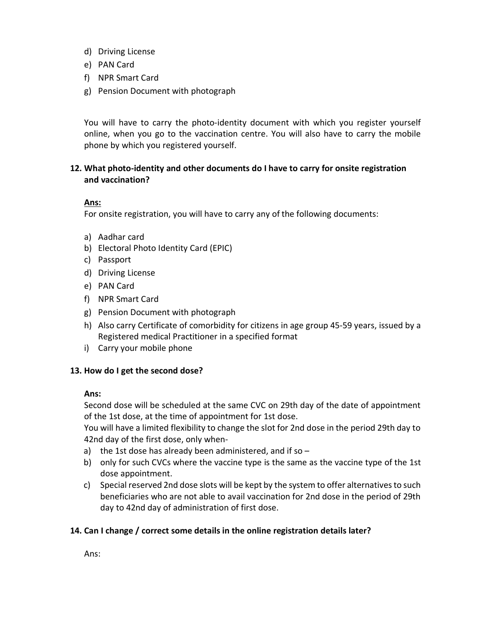- d) Driving License
- e) PAN Card
- f) NPR Smart Card
- g) Pension Document with photograph

You will have to carry the photo-identity document with which you register yourself online, when you go to the vaccination centre. You will also have to carry the mobile phone by which you registered yourself.

### **12. What photo-identity and other documents do I have to carry for onsite registration and vaccination?**

#### **Ans:**

For onsite registration, you will have to carry any of the following documents:

- a) Aadhar card
- b) Electoral Photo Identity Card (EPIC)
- c) Passport
- d) Driving License
- e) PAN Card
- f) NPR Smart Card
- g) Pension Document with photograph
- h) Also carry Certificate of comorbidity for citizens in age group 45-59 years, issued by a Registered medical Practitioner in a specified format
- i) Carry your mobile phone

#### **13. How do I get the second dose?**

#### **Ans:**

Second dose will be scheduled at the same CVC on 29th day of the date of appointment of the 1st dose, at the time of appointment for 1st dose.

You will have a limited flexibility to change the slot for 2nd dose in the period 29th day to 42nd day of the first dose, only when-

- a) the 1st dose has already been administered, and if so  $-$
- b) only for such CVCs where the vaccine type is the same as the vaccine type of the 1st dose appointment.
- c) Special reserved 2nd dose slots will be kept by the system to offer alternativesto such beneficiaries who are not able to avail vaccination for 2nd dose in the period of 29th day to 42nd day of administration of first dose.

### **14. Can I change / correct some details in the online registration details later?**

Ans: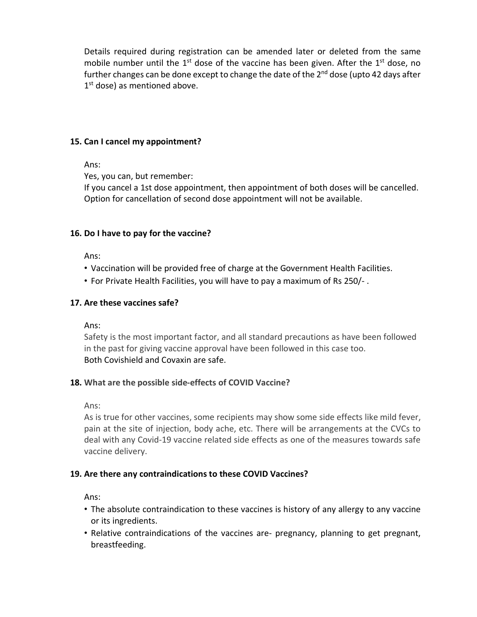Details required during registration can be amended later or deleted from the same mobile number until the 1<sup>st</sup> dose of the vaccine has been given. After the 1<sup>st</sup> dose, no further changes can be done except to change the date of the 2<sup>nd</sup> dose (upto 42 days after 1<sup>st</sup> dose) as mentioned above.

#### **15. Can I cancel my appointment?**

Ans:

Yes, you can, but remember:

If you cancel a 1st dose appointment, then appointment of both doses will be cancelled. Option for cancellation of second dose appointment will not be available.

#### **16. Do I have to pay for the vaccine?**

Ans:

- Vaccination will be provided free of charge at the Government Health Facilities.
- For Private Health Facilities, you will have to pay a maximum of Rs 250/- .

### **17. Are these vaccines safe?**

Ans:

Safety is the most important factor, and all standard precautions as have been followed in the past for giving vaccine approval have been followed in this case too. Both Covishield and Covaxin are safe.

### **18. What are the possible side-effects of COVID Vaccine?**

Ans:

As is true for other vaccines, some recipients may show some side effects like mild fever, pain at the site of injection, body ache, etc. There will be arrangements at the CVCs to deal with any Covid-19 vaccine related side effects as one of the measures towards safe vaccine delivery.

### **19. Are there any contraindications to these COVID Vaccines?**

Ans:

- The absolute contraindication to these vaccines is history of any allergy to any vaccine or its ingredients.
- Relative contraindications of the vaccines are- pregnancy, planning to get pregnant, breastfeeding.